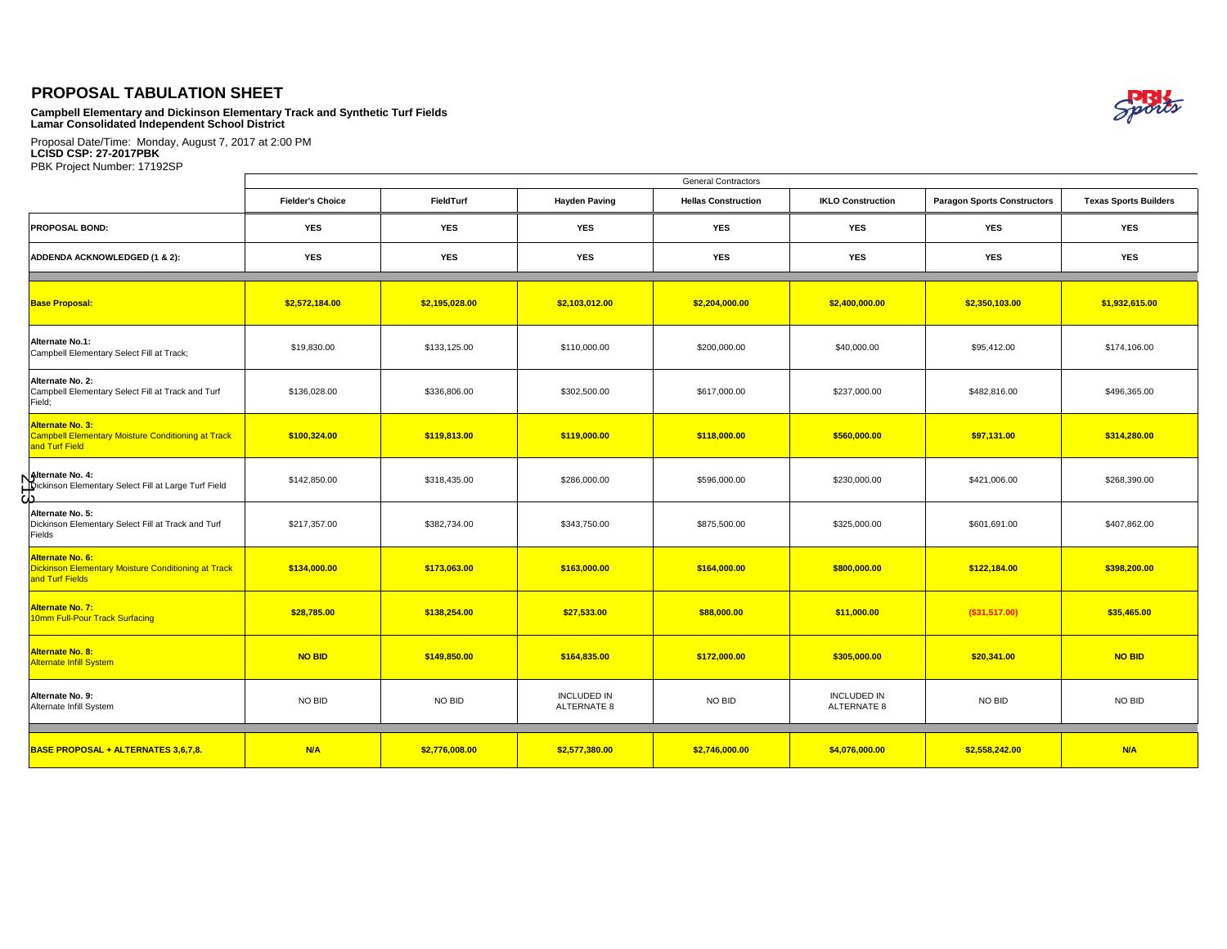## **PROPOSAL TABULATION SHEET**

**Campbell Elementary and Dickinson Elementary Track and Synthetic Turf Fields Lamar Consolidated Independent School District**

Proposal Date/Time: Monday, August 7, 2017 at 2:00 PM **LCISD CSP: 27-2017PBK** PBK Project Number: 17192SP

|                                                                                                 | <b>General Contractors</b> |                |                                                    |                |                                   |                                    |                              |  |  |  |
|-------------------------------------------------------------------------------------------------|----------------------------|----------------|----------------------------------------------------|----------------|-----------------------------------|------------------------------------|------------------------------|--|--|--|
|                                                                                                 | <b>Fielder's Choice</b>    | FieldTurf      | <b>Hayden Paving</b><br><b>Hellas Construction</b> |                | <b>IKLO Construction</b>          | <b>Paragon Sports Constructors</b> | <b>Texas Sports Builders</b> |  |  |  |
| <b>PROPOSAL BOND:</b>                                                                           | <b>YES</b>                 | <b>YES</b>     | <b>YES</b>                                         | <b>YES</b>     | <b>YES</b>                        | <b>YES</b>                         | <b>YES</b>                   |  |  |  |
| ADDENDA ACKNOWLEDGED (1 & 2):                                                                   | YES                        | <b>YES</b>     | <b>YES</b>                                         | <b>YES</b>     | <b>YES</b>                        | <b>YES</b>                         | <b>YES</b>                   |  |  |  |
| <b>Base Proposal:</b>                                                                           | \$2,572,184.00             | \$2,195,028.00 | \$2,103,012.00                                     | \$2,204,000.00 | \$2,400,000.00                    | \$2,350,103.00                     | \$1,932,615.00               |  |  |  |
| <b>Alternate No.1:</b><br>Campbell Elementary Select Fill at Track;                             | \$19,830.00                | \$133,125.00   | \$110,000.00                                       | \$200,000.00   | \$40,000.00                       | \$95,412.00                        | \$174,106.00                 |  |  |  |
| Alternate No. 2:<br>Campbell Elementary Select Fill at Track and Turf<br>Field;                 | \$136,028.00               | \$336,806.00   | \$302,500.00                                       | \$617,000.00   | \$237,000.00                      | \$482,816.00                       | \$496,365.00                 |  |  |  |
| Alternate No. 3:<br><b>Campbell Elementary Moisture Conditioning at Track</b><br>and Turf Field | \$100,324.00               | \$119,813.00   | \$119,000.00                                       | \$118,000.00   | \$560,000.00                      | \$97,131.00                        | \$314,280.00                 |  |  |  |
| <b>Natternate No. 4:</b><br>Dickinson Elementary Select Fill at Large Turf Field<br>دك          | \$142,850.00               | \$318,435.00   | \$286,000.00                                       | \$596,000.00   | \$230,000.00                      | \$421,006.00                       | \$268,390.00                 |  |  |  |
| Alternate No. 5:<br>Dickinson Elementary Select Fill at Track and Turf<br>Fields                | \$217,357.00               | \$382,734.00   | \$343,750.00                                       | \$875,500.00   | \$325,000.00                      | \$601,691.00                       | \$407,862.00                 |  |  |  |
| Alternate No. 6:<br>Dickinson Elementary Moisture Conditioning at Track<br>and Turf Fields      | \$134,000.00               | \$173,063.00   | \$163,000.00                                       | \$164,000.00   | \$800,000.00                      | \$122,184.00                       | \$398,200.00                 |  |  |  |
| <b>Alternate No. 7:</b><br>10mm Full-Pour Track Surfacing                                       | \$28,785.00                | \$138,254.00   | \$27,533.00                                        | \$88,000.00    | \$11,000.00                       | (\$31,517.00)                      | \$35,465.00                  |  |  |  |
| <b>Alternate No. 8:</b><br><b>Alternate Infill System</b>                                       | <b>NO BID</b>              | \$149,850.00   | \$164,835.00                                       | \$172,000.00   | \$305,000.00                      | \$20,341.00                        | <b>NO BID</b>                |  |  |  |
| Alternate No. 9:<br>Alternate Infill System                                                     | NO BID                     | NO BID         | <b>INCLUDED IN</b><br>ALTERNATE 8                  | NO BID         | <b>INCLUDED IN</b><br>ALTERNATE 8 | NO BID                             | NO BID                       |  |  |  |
| <b>BASE PROPOSAL + ALTERNATES 3,6,7,8.</b>                                                      | <b>N/A</b>                 | \$2,776,008.00 | \$2,577,380.00                                     | \$2,746,000.00 | \$4,076,000.00                    | \$2,558,242.00                     | <b>N/A</b>                   |  |  |  |